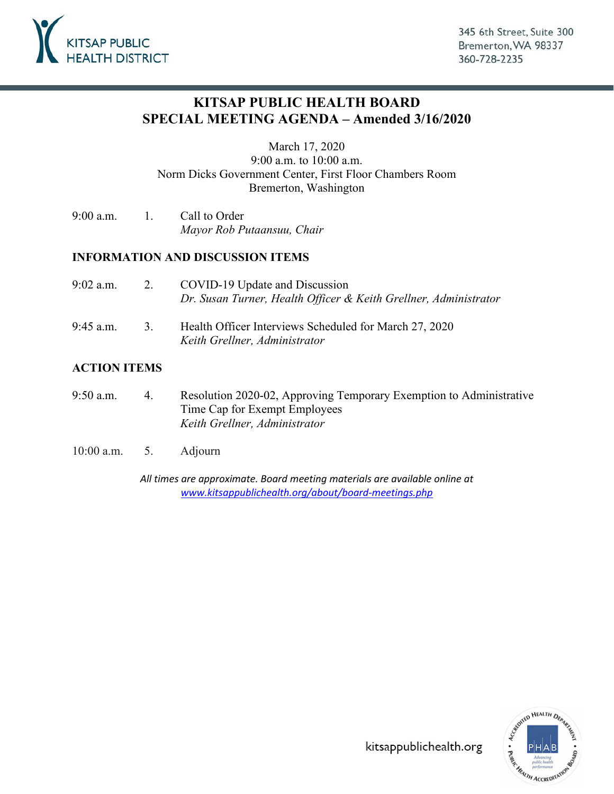

## **KITSAP PUBLIC HEALTH BOARD SPECIAL MEETING AGENDA – Amended 3/16/2020**

March 17, 2020

9:00 a.m. to 10:00 a.m. Norm Dicks Government Center, First Floor Chambers Room Bremerton, Washington

9:00 a.m. 1. Call to Order *Mayor Rob Putaansuu, Chair*

#### **INFORMATION AND DISCUSSION ITEMS**

- 9:02 a.m. 2. COVID-19 Update and Discussion *[Dr. Susan Turner, Health Officer & Keith Grellner, Administrator](#page-1-0)*
- 9:45 a.m. 3. Health Officer Interviews Scheduled for March 27, 2020 *Keith Grellner, Administrator*

#### **ACTION ITEMS**

- 9:50 a.m. 4. [Resolution 2020-02, Approving Temporary Exemption to Administrative](#page-3-0) Time Cap for Exempt Employees *Keith Grellner, Administrator*
- 10:00 a.m. 5. Adjourn

*All times are approximate. Board meeting materials are available online at [www.kitsappublichealth.org/about/board-meetings.php](http://www.kitsappublichealth.org/about/board-meetings.php)*



kitsappublichealth.org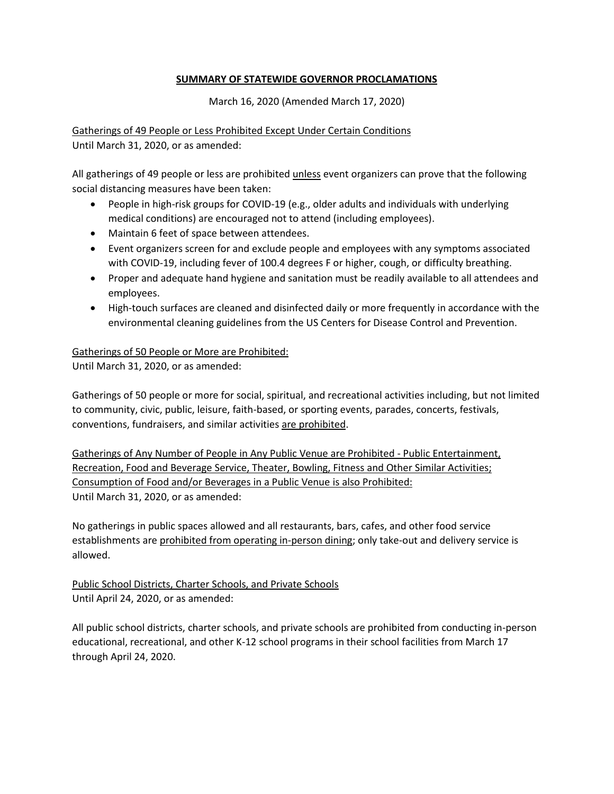#### **SUMMARY OF STATEWIDE GOVERNOR PROCLAMATIONS**

March 16, 2020 (Amended March 17, 2020)

<span id="page-1-0"></span>Gatherings of 49 People or Less Prohibited Except Under Certain Conditions Until March 31, 2020, or as amended:

All gatherings of 49 people or less are prohibited unless event organizers can prove that the following social distancing measures have been taken:

- People in high-risk groups for COVID-19 (e.g., older adults and individuals with underlying medical conditions) are encouraged not to attend (including employees).
- Maintain 6 feet of space between attendees.
- Event organizers screen for and exclude people and employees with any symptoms associated with COVID-19, including fever of 100.4 degrees F or higher, cough, or difficulty breathing.
- Proper and adequate hand hygiene and sanitation must be readily available to all attendees and employees.
- High-touch surfaces are cleaned and disinfected daily or more frequently in accordance with the environmental cleaning guidelines from the US Centers for Disease Control and Prevention.

#### Gatherings of 50 People or More are Prohibited:

Until March 31, 2020, or as amended:

Gatherings of 50 people or more for social, spiritual, and recreational activities including, but not limited to community, civic, public, leisure, faith-based, or sporting events, parades, concerts, festivals, conventions, fundraisers, and similar activities are prohibited.

Gatherings of Any Number of People in Any Public Venue are Prohibited - Public Entertainment, Recreation, Food and Beverage Service, Theater, Bowling, Fitness and Other Similar Activities; Consumption of Food and/or Beverages in a Public Venue is also Prohibited: Until March 31, 2020, or as amended:

No gatherings in public spaces allowed and all restaurants, bars, cafes, and other food service establishments are prohibited from operating in-person dining; only take-out and delivery service is allowed.

Public School Districts, Charter Schools, and Private Schools Until April 24, 2020, or as amended:

All public school districts, charter schools, and private schools are prohibited from conducting in-person educational, recreational, and other K-12 school programs in their school facilities from March 17 through April 24, 2020.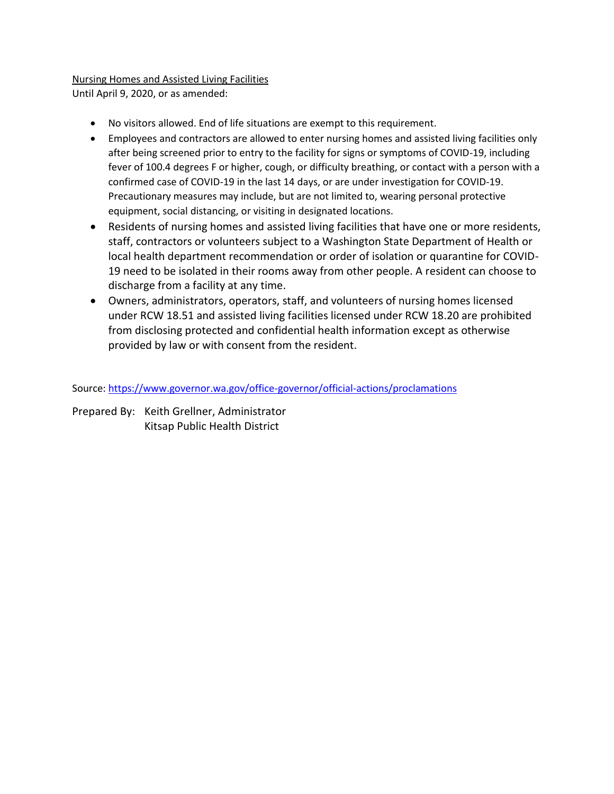### Nursing Homes and Assisted Living Facilities

Until April 9, 2020, or as amended:

- No visitors allowed. End of life situations are exempt to this requirement.
- Employees and contractors are allowed to enter nursing homes and assisted living facilities only after being screened prior to entry to the facility for signs or symptoms of COVID-19, including fever of 100.4 degrees F or higher, cough, or difficulty breathing, or contact with a person with a confirmed case of COVID-19 in the last 14 days, or are under investigation for COVID-19. Precautionary measures may include, but are not limited to, wearing personal protective equipment, social distancing, or visiting in designated locations.
- Residents of nursing homes and assisted living facilities that have one or more residents, staff, contractors or volunteers subject to a Washington State Department of Health or local health department recommendation or order of isolation or quarantine for COVID-19 need to be isolated in their rooms away from other people. A resident can choose to discharge from a facility at any time.
- Owners, administrators, operators, staff, and volunteers of nursing homes licensed under RCW 18.51 and assisted living facilities licensed under RCW 18.20 are prohibited from disclosing protected and confidential health information except as otherwise provided by law or with consent from the resident.

Source: [https://www.governor.wa.gov/office-governor/official-actions/proclamations](https://nam03.safelinks.protection.outlook.com/?url=https%3A%2F%2Fwww.governor.wa.gov%2Foffice-governor%2Fofficial-actions%2Fproclamations&data=02%7C01%7Ckeith.grellner%40kitsappublichealth.org%7C6e73c25390134d48b60408d7ca1daf89%7C63ea23e1c6c043fe8754515c89aa179a%7C1%7C0%7C637200101165762085&sdata=SDD%2BUCkeNxaEz5K75I3cBo6cki1mlXzxETYrKlVfuyQ%3D&reserved=0)

Prepared By: Keith Grellner, Administrator Kitsap Public Health District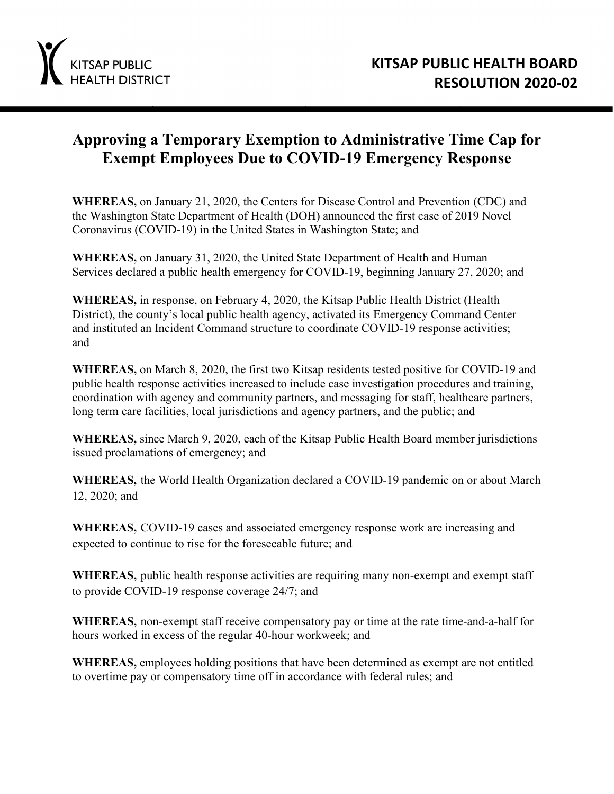<span id="page-3-0"></span>

# **Approving a Temporary Exemption to Administrative Time Cap for Exempt Employees Due to COVID-19 Emergency Response**

**WHEREAS,** on January 21, 2020, the Centers for Disease Control and Prevention (CDC) and the Washington State Department of Health (DOH) announced the first case of 2019 Novel Coronavirus (COVID-19) in the United States in Washington State; and

**WHEREAS,** on January 31, 2020, the United State Department of Health and Human Services declared a public health emergency for COVID-19, beginning January 27, 2020; and

**WHEREAS,** in response, on February 4, 2020, the Kitsap Public Health District (Health District), the county's local public health agency, activated its Emergency Command Center and instituted an Incident Command structure to coordinate COVID-19 response activities; and

**WHEREAS,** on March 8, 2020, the first two Kitsap residents tested positive for COVID-19 and public health response activities increased to include case investigation procedures and training, coordination with agency and community partners, and messaging for staff, healthcare partners, long term care facilities, local jurisdictions and agency partners, and the public; and

**WHEREAS,** since March 9, 2020, each of the Kitsap Public Health Board member jurisdictions issued proclamations of emergency; and

**WHEREAS,** the World Health Organization declared a COVID-19 pandemic on or about March 12, 2020; and

**WHEREAS,** COVID-19 cases and associated emergency response work are increasing and expected to continue to rise for the foreseeable future; and

**WHEREAS,** public health response activities are requiring many non-exempt and exempt staff to provide COVID-19 response coverage 24/7; and

**WHEREAS,** non-exempt staff receive compensatory pay or time at the rate time-and-a-half for hours worked in excess of the regular 40-hour workweek; and

**WHEREAS,** employees holding positions that have been determined as exempt are not entitled to overtime pay or compensatory time off in accordance with federal rules; and